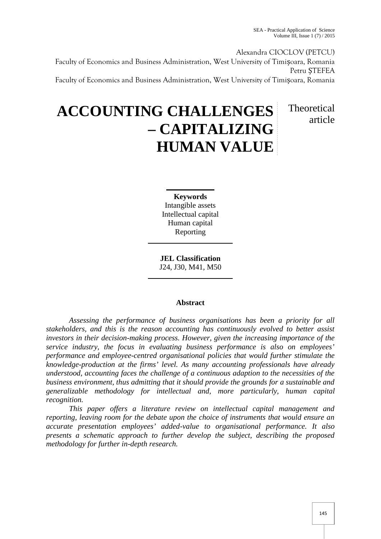Theoretical

article

Alexandra CIOCLOV (PETCU) Faculty of Economics and Business Administration, West University of Timișoara, Romania Petru ȘTEFEA Faculty of Economics and Business Administration, West University of Timișoara, Romania

# **ACCOUNTING CHALLENGES – CAPITALIZING HUMAN VALUE**

**Keywords** Intangible assets Intellectual capital Human capital Reporting

**JEL Classification** J24, J30, M41, M50

## **Abstract**

*Assessing the performance of business organisations has been a priority for all stakeholders, and this is the reason accounting has continuously evolved to better assist investors in their decision-making process. However, given the increasing importance of the service industry, the focus in evaluating business performance is also on employees' performance and employee-centred organisational policies that would further stimulate the knowledge-production at the firms' level. As many accounting professionals have already understood, accounting faces the challenge of a continuous adaption to the necessities of the business environment, thus admitting that it should provide the grounds for a sustainable and generalizable methodology for intellectual and, more particularly, human capital recognition.*

*This paper offers a literature review on intellectual capital management and reporting, leaving room for the debate upon the choice of instruments that would ensure an accurate presentation employees' added-value to organisational performance. It also presents a schematic approach to further develop the subject, describing the proposed methodology for further in-depth research.*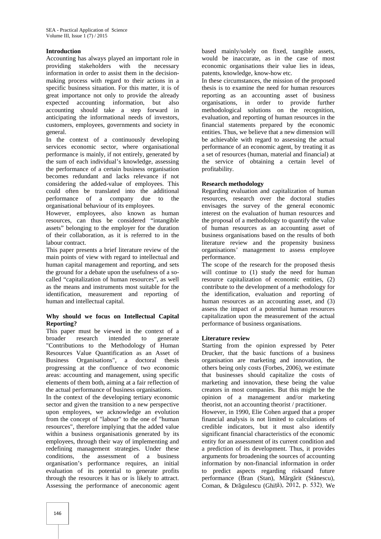### **Introduction**

Accounting has always played an important role in providing stakeholders with the necessary information in order to assist them in the decision making process with regard to their actions in a specific business situation. For this matter, it is of great importance not only to provide the already expected accounting information, but also accounting should take a step forward in anticipating the informational needs of investors, customers, employees, governments and society in general.

In the context of a continuously developing services economic sector, where organisational performance is mainly, if not entirely, generated by the sum of each individual's knowledge, assessing the performance of a certain business organisation becomes redundant and lacks relevance if not considering the added-value of employees. This could often be translated into the additional performance of a company due to the organisational behaviour of its employees.

However, employees, also known as human resources, can thus be considered "intangible assets" belonging to the employer for the duration of their collaboration, as it is referred to in the labour contract.

This paper presents a brief literature review of the main points of view with regard to intellectual and human capital management and reporting, and sets the ground for a debate upon the usefulness of a so called "capitalization of human resources", as well as the means and instruments most suitable for the identification, measurement and reporting of human and intellectual capital.

#### **Why should we focus on Intellectual Capital Reporting?**

This paper must be viewed in the context of a broader research intended to generate "Contributions to the Methodology of Human Resources Value Quantification as an Asset of Business Organisations", a doctoral thesis progressing at the confluence of two economic areas: accounting and management, using specific elements of them both, aiming at a fair reflection of the actual performance of business organisations.

In the context of the developing tertiary economic sector and given the transition to a new perspective upon employees, we acknowledge an evolution from the concept of "labour" to the one of "human resources", therefore implying that the added value within a business organisationis generated by its employees, through their way of implementing and redefining management strategies. Under these conditions, the assessment of a business organisation's performance requires, an initial evaluation of its potential to generate profits through the resources it has or is likely to attract. Assessing the performance of aneconomic agent based mainly/solely on fixed, tangible assets, would be inaccurate, as in the case of most economic organisations their value lies in ideas, patents, knowledge, know-how etc.

In these circumstances, the mission of the proposed thesis is to examine the need for human resources reporting as an accounting asset of business organisations, in order to provide further methodological solutions on the recognition, evaluation, and reporting of human resources in the financial statements prepared by the economic entities. Thus, we believe that a new dimension will be achievable with regard to assessing the actual performance of an economic agent, by treating it as a set of resources (human, material and financial) at the service of obtaining a certain level of profitability.

## **Research methodology**

Regarding evaluation and capitalization of human resources, research over the doctoral studies envisages the survey of the general economic interest on the evaluation of human resources and the proposal of a methodology to quantify the value of human resources as an accounting asset of business organisations based on the results of both literature review and the propensity business organisations' management to assess employee performance.

The scope of the research for the proposed thesis will continue to (1) study the need for human resource capitalization of economic entities, (2) contribute to the development of a methodology for the identification, evaluation and reporting of human resources as an accounting asset, and (3) assess the impact of a potential human resources capitalization upon the measurement of the actual performance of business organisations.

## **Literature review**

Starting from the opinion expressed by Peter Drucker, that the basic functions of a business organisation are marketing and innovation, the others being only costs (Forbes, 2006), we estimate that businesses should capitalize the costs of marketing and innovation, these being the value creators in most companies. But this might be the opinion of a management and/or marketing theorist, not an accounting theorist / practitioner. However, in 1990, Elie Cohen argued that a proper financial analysis is not limited to calculations of credible indicators, but it must also identify significant financial characteristics of the economic entity for an assessment of its current condition and a prediction of its development. Thus, it provides arguments for broadening the sources of accounting information by non-financial information in order to predict aspects regarding risksand future performance (Bran (Stan), M rg rit (St nescu), Coman, & Dr gulescu (Ghiță), 2012, p. 532). We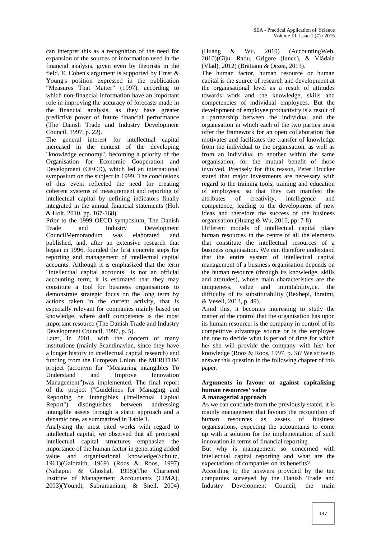can interpret this as a recognition of the need for expansion of the sources of information used in the financial analysis, given even by theorists in the field. E. Cohen's argument is supported by Ernst & Young's position expressed in the publication "Measures That Matter" (1997), according to which non-financial information have an important role in improving the accuracy of forecasts made in the financial analysis, as they have greater predictive power of future financial performance (The Danish Trade and Industry Development Council, 1997, p. 22).

The general interest for intellectual capital increased in the context of the developing "knowledge economy", becoming a priority of the Organisation for Economic Cooperation and Development (OECD), which led an international symposium on the subject in 1999. The conclusions of this event reflected the need for creating coherent systems of measurement and reporting of intellectual capital by defining indicators finally integrated in the annual financial statements (Holt & Holt, 2010, pp. 167-168).

Prior to the 1999 OECD symposium, The Danish Trade and Industry Development CouncilMemorandum was elaborated and published, and, after an extensive research that began in 1996, founded the first concrete steps for reporting and management of intellectual capital accounts. Although it is emphasized that the term "intellectual capital accounts" is not an official accounting term, it is estimated that they may constitute a tool for business organisations to demonstrate strategic focus on the long term by actions taken in the current activity, that is especially relevant for companies mainly based on knowledge, where staff competence is the most important resource (The Danish Trade and Industry Development Council, 1997, p. 5).

Later, in 2001, with the concern of many institutions (mainly Scandinavian, since they have a longer history in intellectual capital research) and funding from the European Union, the MERITUM project (acronym for "Measuring intangibles To Understand and Improve Innovation Management")was implemented. The final report of the project ("Guidelines for Managing and Reporting on Intangibles (Intellectual Capital Report") distinguishes between addressing intangible assets through a static approach and a dynamic one, as summarized in Table 1.

Analysing the most cited works with regard to intellectual capital, we observed that all proposed intellectual capital structures emphasize the importance of the human factor in generating added value and organisational knowledge(Schultz, 1961)(Galbraith, 1969) (Roos & Roos, 1997) (Nahapiet & Ghoshal, 1998)(The Chartered Institute of Management Accountants (CIMA), 2003)(Youndt, Subramaniam, & Snell, 2004) (Huang & Wu, 2010) (AccountingWeb,  $2010$ )(Gîju, Radu, Grigore (Iancu), & Vl daia (Vlad), 2012) (Br tianu & Orzea, 2013).

The human factor, human resource or human capital is the source of research and development at the organisational level as a result of attitudes towards work and the knowledge, skills and competencies of individual employees. But the development of employee productivity is a result of a partnership between the individual and the organisation in which each of the two parties must offer the framework for an open collaboration that motivates and facilitates the transfer of knowledge from the individual to the organisation, as well as from an individual to another within the same organisation, for the mutual benefit of those involved. Precisely for this reason, Peter Drucker stated that major investments are necessary with regard to the training tools, training and education of employees, so that they can manifest the of creativity, intelligence and competence, leading to the development of new ideas and therefore the success of the business organisation (Huang & Wu, 2010, pp. 7-8).

Different models of intellectual capital place human resources in the centre of all the elements that constitute the intellectual resources of a business organisation. We can therefore understand that the entire system of intellectual capital management of a business organisation depends on the human resource (through its knowledge, skills and attitudes), whose main characteristics are the uniqueness, value and inimitability,i.e. the difficulty of its substitutability (Rexhepi, Ibraimi, & Veseli, 2013, p. 49).

Amid this, it becomes interesting to study the matter of the control that the organisation has upon its human resource: is the company in control of its competitive advantage source or is the employee the one to decide what is period of time for which he/ she will provide the company with his/ her knowledge (Roos & Roos, 1997, p. 3)? We strive to answer this question in the following chapter of this paper.

#### **Arguments in favour or against capitalising human resources' value A managerial approach**

As we can conclude from the previously stated, it is mainly management that favours the recognition of human resources as assets of business organisations, expecting the accountants to come up with a solution for the implementation of such innovation in terms of financial reporting.

But why is management so concerned with intellectual capital reporting and what are the expectations of companies on its benefits?

According to the answers provided by the ten companies surveyed by the Danish Trade and Industry Development Council, the main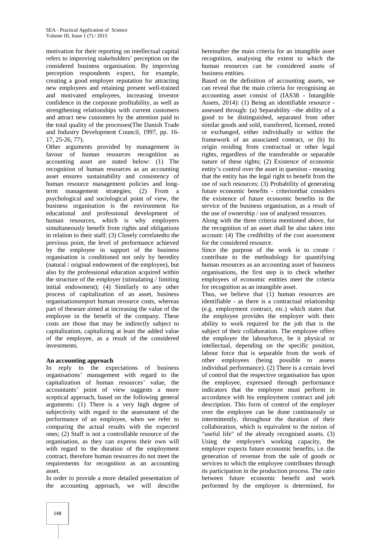motivation for their reporting on intellectual capital refers to improving stakeholders' perception on the considered business organisation. By improving perception respondents expect, for example, creating a good employer reputation for attracting new employees and retaining present well-trained and motivated employees, increasing investor confidence in the corporate profitability, as well as strengthening relationships with current customers and attract new customers by the attention paid to the total quality of the processes(The Danish Trade and Industry Development Council, 1997, pp. 16- 17, 25-26, 77).

Other arguments provided by management in favour of human resources recognition as accounting asset are stated below: (1) The recognition of human resources as an accounting asset ensures sustainability and consistency of human resource management policies and longterm management strategies; (2) From a psychological and sociological point of view, the business organisation is the environment for educational and professional development of human resources, which is why employers simultaneously benefit from rights and obligations in relation to their staff; (3) Closely correlatedto the previous point, the level of performance achieved by the employee in support of the business organisation is conditioned not only by heredity (natural / original endowment of the employee), but also by the professional education acquired within the structure of the employer (stimulating / limiting initial endowment); (4) Similarly to any other process of capitalization of an asset, business organisationsreport human resource costs, whereas part of theseare aimed at increasing the value of the employee in the benefit of the company. These costs are those that may be indirectly subject to capitalization, capitalizing at least the added value of the employee, as a result of the considered investments.

#### **An accounting approach**

In reply to the expectations of business organisations' management with regard to the capitalization of human resources' value, the accountants' point of view suggests a more sceptical approach, based on the following general arguments: (1) There is a very high degree of subjectivity with regard to the assessment of the performance of an employee, when we refer to comparing the actual results with the expected ones; (2) Staff is not a controllable resource of the organisation, as they can express their own will with regard to the duration of the employment contract, therefore human resources do not meet the requirements for recognition as an accounting asset.

In order to provide a more detailed presentation of the accounting approach, we will describe hereinafter the main criteria for an intangible asset recognition, analysing the extent to which the human resources can be considered assets of business entities.

Based on the definition of accounting assets, we can reveal that the main criteria for recognising an accounting asset consist of (IAS38 - Intangible Assets, 2014): (1) Being an identifiable resource assessed through: (a) Separability –the ability of a good to be distinguished, separated from other similar goods and sold, transferred, licensed, rented or exchanged, either individually or within the framework of an associated contract, or (b) Its origin residing from contractual or other legal rights, regardless of the transferable or separable nature of these rights; (2) Existence of economic entity's control over the asset in question - meaning that the entity has the legal right to benefit from the use of such resources; (3) Probability of generating future economic benefits - criterionthat considers the existence of future economic benefits in the service of the business organisation, as a result of the use of ownership / use of analysed resources.

Along with the three criteria mentioned above, for the recognition of an asset shall be also taken into account: (4) The credibility of the cost assessment for the considered resource.

Since the purpose of the work is to create / contribute to the methodology for quantifying human resources as an accounting asset of business organisations, the first step is to check whether employees of economic entities meet the criteria for recognition as an intangible asset.

Thus, we believe that (1) human resources are identifiable - as there is a contractual relationship (e.g. employment contract, etc.) which states that the employee provides the employer with their ability to work required for the job that is the subject of their collaboration. The employee offers the employer the labourforce, be it physical or intellectual, depending on the specific position, labour force that is separable from the work of other employees (being possible to assess individual performance). (2) There is a certain level of control that the respective organisation has upon the employee, expressed through performance indicators that the employee must perform in accordance with his employment contract and job description. This form of control of the employer over the employee can be done continuously or intermittently, throughout the duration of their collaboration, which is equivalent to the notion of "useful life" of the already recognised assets. (3) Using the employee's working capacity, the employer expects future economic benefits, i.e. the generation of revenue from the sale of goods or services to which the employee contributes through its participation in the production process. The ratio between future economic benefit and work performed by the employee is determined, for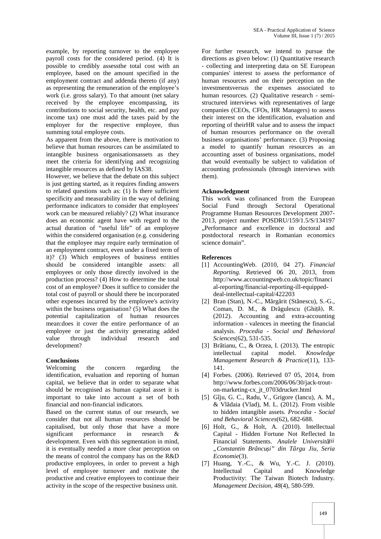example, by reporting turnover to the employee payroll costs for the considered period. (4) It is possible to credibly assessthe total cost with an employee, based on the amount specified in the employment contract and addenda thereto (if any) as representing the remuneration of the employee's work (i.e. gross salary). To that amount (net salary received by the employee encompassing, its contributions to social security, health, etc. and pay income tax) one must add the taxes paid by the employer for the respective employee, thus summing total employee costs.

As apparent from the above, there is motivation to believe that human resources can be assimilated to intangible business organisationsassets as they meet the criteria for identifying and recognizing intangible resources as defined by IAS38.

However, we believe that the debate on this subject is just getting started, as it requires finding answers to related questions such as: (1) Is there sufficient specificity and measurability in the way of defining performance indicators to consider that employees' work can be measured reliably? (2) What insurance does an economic agent have with regard to the actual duration of "useful life" of an employee within the considered organisation (e.g. considering that the employee may require early termination of an employment contract, even under a fixed term of it)? (3) Which employees of business entities should be considered intangible assets: all employees or only those directly involved in the production process? (4) How to determine the total cost of an employee? Does it suffice to consider the total cost of payroll or should there be incorporated other expenses incurred by the employee's activity within the business organisation? (5) What does the potential capitalization of human resources mean:does it cover the entire performance of an employee or just the activity generating added value through individual research and development?

#### **Conclusions**

Welcoming the concern regarding the identification, evaluation and reporting of human capital, we believe that in order to separate what should be recognised as human capital asset it is important to take into account a set of both financial and non-financial indicators.

Based on the current status of our research, we consider that not all human resources should be capitalised, but only those that have a more significant performance in research & development. Even with this segmentation in mind, it is eventually needed a more clear perception on the means of control the company has on the R&D productive employees, in order to prevent a high level of employee turnover and motivate the productive and creative employees to continue their activity in the scope of the respective business unit.

For further research, we intend to pursue the directions as given below: (1) Quantitative research - collecting and interpreting data on SE European companies' interest to assess the performance of human resources and on their perception on the investmentsversus the expenses associated to human resources. (2) Qualitative research - semi structured interviews with representatives of large companies (CEOs, CFOs, HR Managers) to assess their interest on the identification, evaluation and reporting of theirHR value and to assess the impact of human resources performance on the overall business organisations' performance. (3) Proposing a model to quantify human resources as an accounting asset of business organisations, model that would eventually be subject to validation of accounting professionals (through interviews with them).

#### **Acknowledgment**

This work was cofinanced from the European Social Fund through Sectoral Operational Programme Human Resources Development 2007- 2013, project number POSDRU/159/1.5/S/134197 "Performance and excellence in doctoral and postdoctoral research in Romanian economics science domain".

#### **References**

- [1] AccountingWeb. (2010, 04 27). *Financial Reporting.* Retrieved 06 20, 2013, from http://www.accountingweb.co.uk/topic/financi al-reporting/financial-reporting-ill-equipped deal-intellectual-capital/422203
- [2] Bran (Stan), N.-C., M rg rit (St nescu), S.-G., Coman, D. M., & Dr gulescu (Ghiță), R. (2012). Accounting and extra-accounting information - valences in meeting the financial analysis. *Procedia - Social and Behavioral Sciences*(62), 531-535.
- [3] Br tianu, C., & Orzea, I. (2013). The entropic intellectual capital model. *Knowledge Management Research & Practice*(11), 133- 141.
- [4] Forbes. (2006). Retrieved 07 05, 2014, from http://www.forbes.com/2006/06/30/jack-trout on-marketing-cx\_jt\_0703drucker.html
- [5] Gîju, G. C., Radu, V., Grigore (Iancu), A. M.,  $&$  Vl daia (Vlad), M. L. (2012). From visible to hidden intangible assets. *Procedia - Social and Behavioral Sciences*(62), 682-688.
- [6] Holt, G., & Holt, A. (2010). Intellectual Capital - Hidden Fortune Not Reflected In Financial Statements. Analele Universit ții *"Constantin Brâncuși" din Târgu Jiu, Seria Economie*(3).
- [7] Huang, Y.-C., & Wu, Y.-C. J. (2010). Intellectual Capital and Knowledge Productivity: The Taiwan Biotech Industry. *Management Decision, 48*(4), 580-599.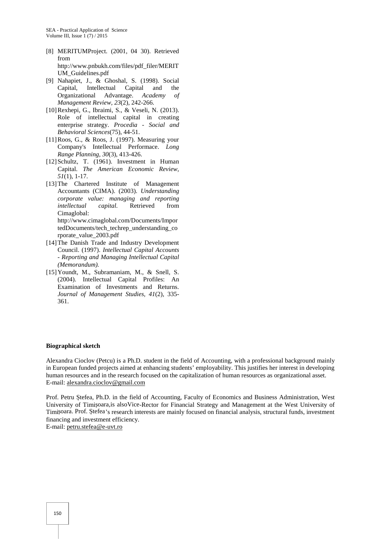- [8] MERITUMProject. (2001, 04 30). Retrieved from http://www.pnbukh.com/files/pdf\_filer/MERIT UM\_Guidelines.pdf
- [9] Nahapiet, J., & Ghoshal, S. (1998). Social Capital, Intellectual Capital and the Organizational Advantage. *Academy of Management Review, 23*(2), 242-266.
- [10]Rexhepi, G., Ibraimi, S., & Veseli, N. (2013). Role of intellectual capital in creating enterprise strategy. *Procedia - Social and Behavioral Sciences*(75), 44-51.
- [11]Roos, G., & Roos, J. (1997). Measuring your Company's Intellectual Performace. *Long Range Planning, 30*(3), 413-426.
- [12]Schultz, T. (1961). Investment in Human Capital. *The American Economic Review, 51*(1), 1-17.
- [13]The Chartered Institute of Management Accountants (CIMA). (2003). *Understanding corporate value: managing and reporting intellectual capital.* Retrieved from Cimaglobal: http://www.cimaglobal.com/Documents/Impor tedDocuments/tech\_techrep\_understanding\_co rporate\_value\_2003.pdf
- [14]The Danish Trade and Industry Development Council. (1997). *Intellectual Capital Accounts - Reporting and Managing Intellectual Capital (Memorandum).*
- [15]Youndt, M., Subramaniam, M., & Snell, S. (2004). Intellectual Capital Profiles: An Examination of Investments and Returns. *Journal of Management Studies, 41*(2), 335- 361.

#### **Biographical sketch**

Alexandra Cioclov (Petcu) is a Ph.D. student in the field of Accounting, with a professional background mainly in European funded projects aimed at enhancing students' employability. This justifies her interest in developing human resources and in the research focused on the capitalization of human resources as organizational asset. E-mail: alexandra.cioclov@gmail.com

Prof. Petru tefea, Ph.D. in the field of Accounting, Faculty of Economics and Business Administration, West University of Timi oara,is alsoVice-Rector for Financial Strategy and Management at the West University of Timi oara. Prof. tefea's research interests are mainly focused on financial analysis, structural funds, investment financing and investment efficiency.

E-mail: petru.stefea@e-uvt.ro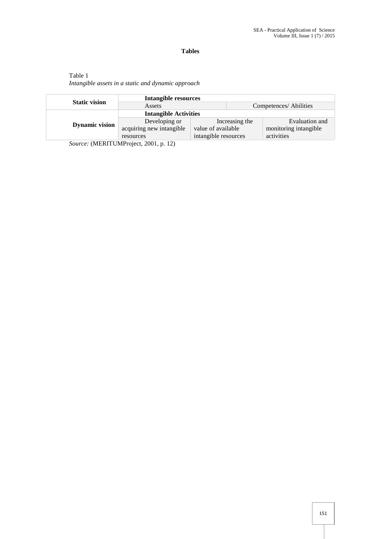## **Tables**

# Table 1 *Intangible assets in a static and dynamic approach*

| <b>Static vision</b>  | Intangible resources                                                              |                      |                        |                       |
|-----------------------|-----------------------------------------------------------------------------------|----------------------|------------------------|-----------------------|
|                       | Assets                                                                            |                      | Competences/ Abilities |                       |
| <b>Dynamic vision</b> | <b>Intangible Activities</b>                                                      |                      |                        |                       |
|                       | Developing or                                                                     | Increasing the       |                        | Evaluation and        |
|                       | acquiring new intangible                                                          | value of available   |                        | monitoring intangible |
|                       | resources                                                                         | intangible resources |                        | activities            |
|                       | $C_{\text{2}}$ (MEDITH B (D <sub>ra</sub> $\frac{1}{2}$ at 0001 $\frac{1}{2}$ 10) |                      |                        |                       |

*Source:* (MERITUMProject, 2001, p. 12)